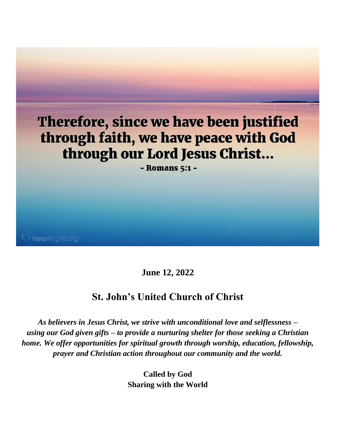

**June 12, 2022**

# **St. John's United Church of Christ**

*As believers in Jesus Christ, we strive with unconditional love and selflessness – using our God given gifts – to provide a nurturing shelter for those seeking a Christian home. We offer opportunities for spiritual growth through worship, education, fellowship, prayer and Christian action throughout our community and the world.*

> **Called by God Sharing with the World**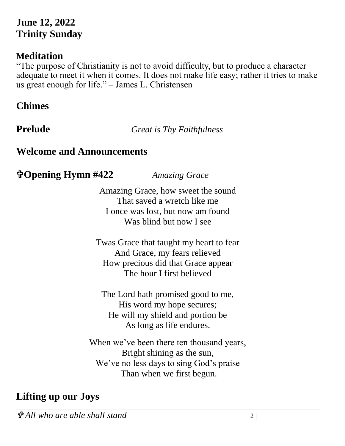# **June 12, 2022 Trinity Sunday**

# **Meditation**

"The purpose of Christianity is not to avoid difficulty, but to produce a character adequate to meet it when it comes. It does not make life easy; rather it tries to make us great enough for life." – James L. Christensen

# **Chimes**

**Prelude** *Great is Thy Faithfulness*

### **Welcome and Announcements**

# **Opening Hymn #422** *Amazing Grace*

Amazing Grace, how sweet the sound That saved a wretch like me I once was lost, but now am found Was blind but now I see

Twas Grace that taught my heart to fear And Grace, my fears relieved How precious did that Grace appear The hour I first believed

The Lord hath promised good to me, His word my hope secures; He will my shield and portion be As long as life endures.

When we've been there ten thousand years, Bright shining as the sun, We've no less days to sing God's praise Than when we first begun.

# **Lifting up our Joys**

*All who are able shall stand* 2 |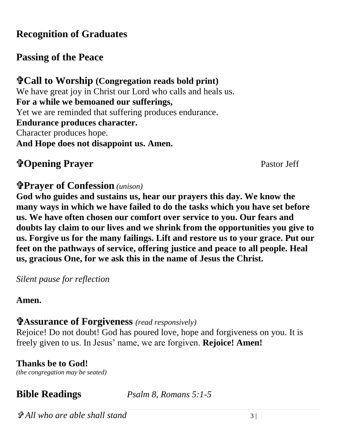# **Recognition of Graduates**

# **Passing of the Peace**

**Call to Worship (Congregation reads bold print)** We have great joy in Christ our Lord who calls and heals us. **For a while we bemoaned our sufferings,** Yet we are reminded that suffering produces endurance. **Endurance produces character.** Character produces hope. **And Hope does not disappoint us. Amen.**

# **Transferred Prayer 3 and 2008 Pastor Jeff** Pastor Jeff

## **Prayer of Confession** *(unison)*

**God who guides and sustains us, hear our prayers this day. We know the many ways in which we have failed to do the tasks which you have set before us. We have often chosen our comfort over service to you. Our fears and doubts lay claim to our lives and we shrink from the opportunities you give to us. Forgive us for the many failings. Lift and restore us to your grace. Put our feet on the pathways of service, offering justice and peace to all people. Heal us, gracious One, for we ask this in the name of Jesus the Christ.**

*Silent pause for reflection* 

### **Amen.**

# **Assurance of Forgiveness** *(read responsively)*

Rejoice! Do not doubt! God has poured love, hope and forgiveness on you. It is freely given to us. In Jesus' name, we are forgiven. **Rejoice! Amen!**

### **Thanks be to God!**

*(the congregation may be seated)*

**Bible Readings** *Psalm 8, Romans 5:1-5*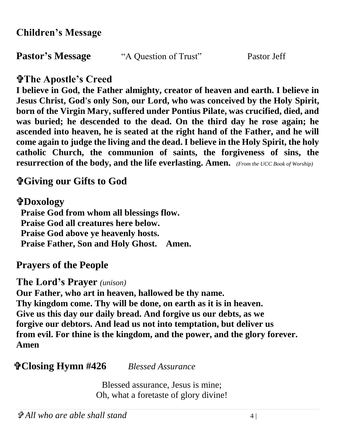**Pastor's Message** "A Question of Trust" Pastor Jeff

# **The Apostle's Creed**

**I believe in God, the Father almighty, creator of heaven and earth. I believe in Jesus Christ, God's only Son, our Lord, who was conceived by the Holy Spirit, born of the Virgin Mary, suffered under Pontius Pilate, was crucified, died, and was buried; he descended to the dead. On the third day he rose again; he ascended into heaven, he is seated at the right hand of the Father, and he will come again to judge the living and the dead. I believe in the Holy Spirit, the holy catholic Church, the communion of saints, the forgiveness of sins, the resurrection of the body, and the life everlasting. Amen.** *(From the UCC Book of Worship)*

# **Giving our Gifts to God**

# **Doxology**

 **Praise God from whom all blessings flow. Praise God all creatures here below. Praise God above ye heavenly hosts. Praise Father, Son and Holy Ghost. Amen.** 

**Prayers of the People**

**The Lord's Prayer** *(unison)*

**Our Father, who art in heaven, hallowed be thy name. Thy kingdom come. Thy will be done, on earth as it is in heaven. Give us this day our daily bread. And forgive us our debts, as we forgive our debtors. And lead us not into temptation, but deliver us from evil. For thine is the kingdom, and the power, and the glory forever. Amen**

# **Closing Hymn #426** *Blessed Assurance*

Blessed assurance, Jesus is mine; Oh, what a foretaste of glory divine!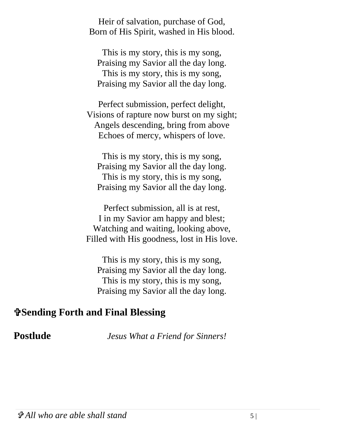Heir of salvation, purchase of God, Born of His Spirit, washed in His blood.

This is my story, this is my song, Praising my Savior all the day long. This is my story, this is my song, Praising my Savior all the day long.

Perfect submission, perfect delight, Visions of rapture now burst on my sight; Angels descending, bring from above Echoes of mercy, whispers of love.

This is my story, this is my song, Praising my Savior all the day long. This is my story, this is my song, Praising my Savior all the day long.

Perfect submission, all is at rest, I in my Savior am happy and blest; Watching and waiting, looking above, Filled with His goodness, lost in His love.

This is my story, this is my song, Praising my Savior all the day long. This is my story, this is my song, Praising my Savior all the day long.

### **Sending Forth and Final Blessing**

**Postlude** *Jesus What a Friend for Sinners!*